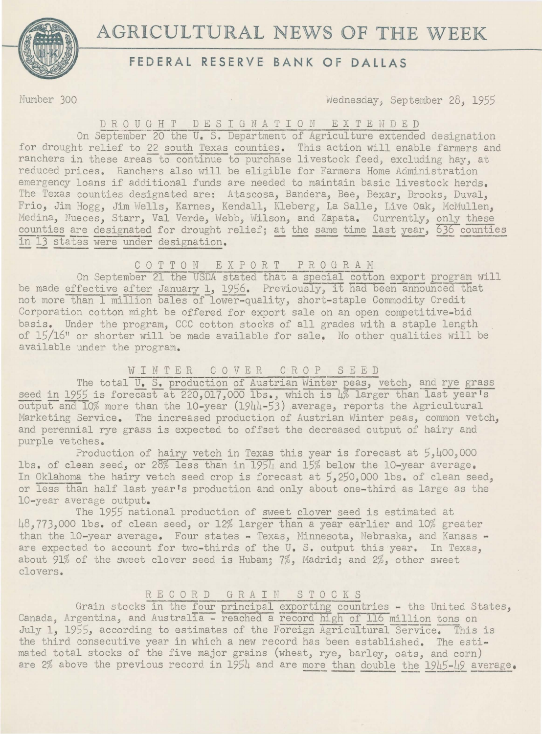

# **AGRICULTURAL NEWS OF THE WEEK**

# **FEDERAL RESERVE BANK OF DALLAS**

Number 300 *Wednesday, September 28, 1955* 

# D R O U G H T D E S I G N A T I O N E X T E N D E D

On September 20 the U. S. Department of Agriculture extended designation for drought relief to 22 south Texas counties. This action will enable farmers and ranchers in these areas to continue to purchase livestock feed, excluding hay, at reduced prices. Ranchers also will be eligible for Farmers Home Administration emergency loans if additional funds are needed to maintain basic livestock herds. The Texas counties designated are: Atascosa, Bandera, Bee, Bexar, Brooks, Duval, Frio, Jim Hogg, Jim Wells, Karnes, Kendall, Kleberg, La Salle, Live Oak, McMullen, Medina, Nueces, Starr, Val Verde, Webb, Wilson, and Zapata. Currently, only these Medina, Nueces, Starr, Val Verde, Webb, Wilson, and Zapata. Currently, only these<br>counties are designated for drought relief; <u>at the same time last year, 636 counties</u><br>in 13 states were under designation.

## C 0 T T 0 N EXPORT PROGRAM

On September 21 the USDA stated that a special cotton export program will be made effective after January 1, 1956. Previously, it had been announced that not more than I million bales of lower-quality, short-staple Commodity Credit Corporation cotton might be offered for export sale on an open competitive-bid basis. Under the program, CCC cotton stocks of all grades with a staple length of 15/16" or shorter will be made available for sale. No other qualities will be available under the program.

## WINTER C 0 V E R C R 0 P S E E D

The total U. S. production of Austrian Winter peas, vetch, and rye grass seed in 1955 is forecast at 220,017,000 lbs., which is 4% larger than last year's  $\overline{\text{output}}$  and  $\overline{10\%}$  more than the 10-year (1944-53) average, reports the Agricultural Marketing Service. The increased production of Austrian Winter peas, common vetch, and perennial rye grass is expected to offset the decreased output of hairy and purple vetches.

Production of hairy vetch in Texas this year is forecast at  $5,400,000$ lbs. of clean seed, or 28% less than in 1954 and 15% below the 10-year average. In Oklahoma the hairy vetch seed crop is forecast at *5,250,000* lbs. of clean seed, or less than half last year's production and only about one-third as large as the 10-year average output.

The 1955 national production of sweet clover seed is estimated at 48,773,000 lbs. of clean seed, or 12% larger than a year-earlier and 10% greater than the 10-year average. Four states - Texas, Minnesota, Nebraska, and Kansas are expected to account for two-thirds of the U.S. output this year. In Texas, about 91% of the sweet clover seed is Hubam; 7%, Madrid; and 2%, other sweet clovers.

#### R E C 0 R D GR A I N STOCKS

Grain stocks in the four principal exporting countries - the United States, Canada, Argentina, and Australia - reached a record high of 116 million tons on July 1, 1955, according to estimates of the Foreign Agricultural Service. This is the third consecutive year in which a new record has been established. The estimated total stocks of the five major grains (wheat, rye, barley, oats, and corn) are  $2\%$  above the previous record in 1954 and are more than double the 1945-49 average.